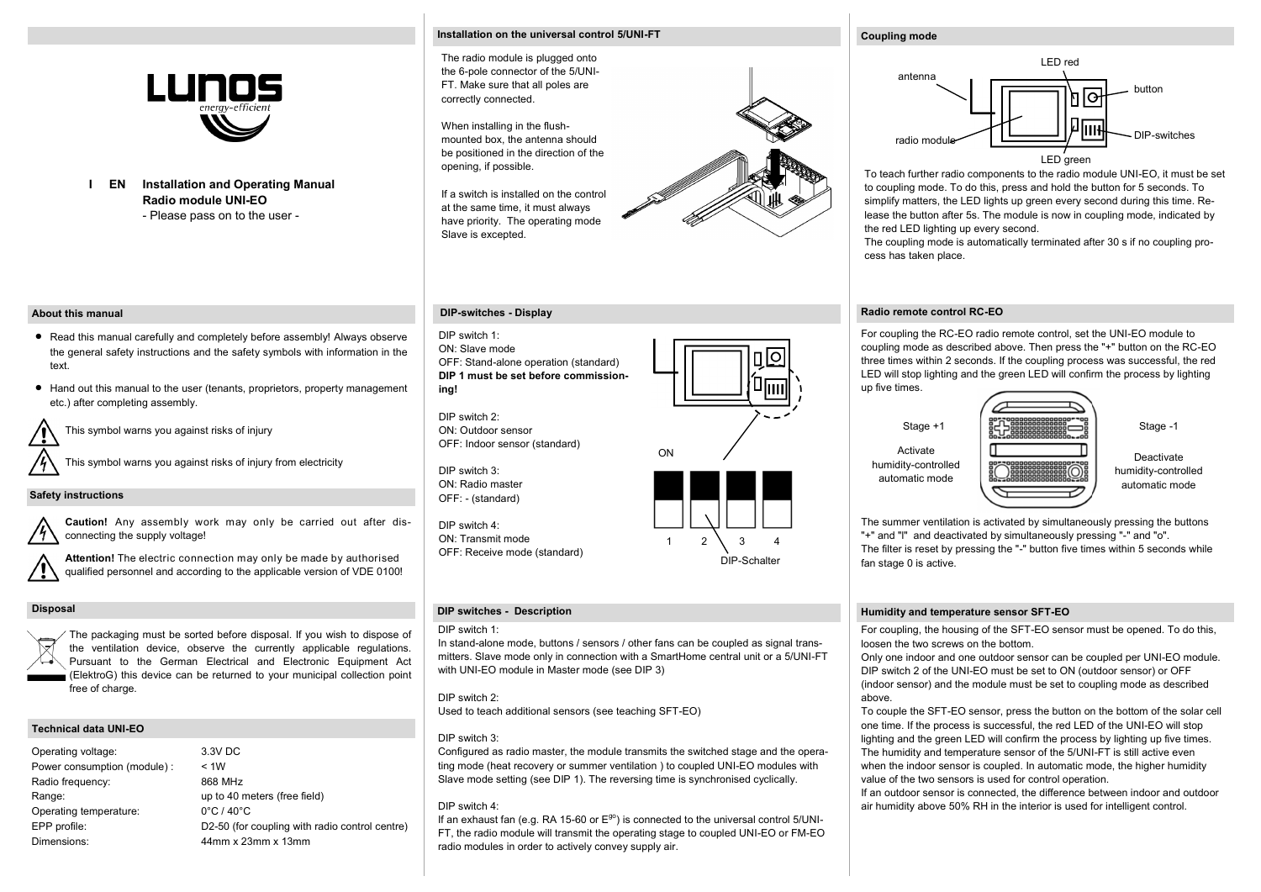

**Installation and Operating Manual I EN Radio module UNI-EO** - Please pass on to the user -

### **Installation on the universal control 5/UNI-FT**

The radio module is plugged onto the 6-pole connector of the 5/UNI-FT. Make sure that all poles are correctly connected.

When installing in the flushmounted box, the antenna should be positioned in the direction of the opening, if possible.

If a switch is installed on the control at the same time, it must always have priority. The operating mode Slave is excepted.

# **DIP-switches - Display**

DIP switch 1: ON: Slave mode OFF: Stand-alone operation (standard) **DIP 1 must be set before commissioning!**

DIP switch 2: ON: Outdoor sensor OFF: Indoor sensor (standard)

DIP switch 3: ON: Radio master OFF: - (standard)

DIP switch 4: ON: Transmit mode OFF: Receive mode (standard)

## **DIP switches - Description**

# DIP switch 1:

In stand-alone mode, buttons / sensors / other fans can be coupled as signal transmitters. Slave mode only in connection with a SmartHome central unit or a 5/UNI-FT with UNI-EO module in Master mode (see DIP 3)

## DIP switch 2:

Used to teach additional sensors (see teaching SFT-EO)

## DIP switch 3:

Configured as radio master, the module transmits the switched stage and the operating mode (heat recovery or summer ventilation ) to coupled UNI-EO modules with Slave mode setting (see DIP 1). The reversing time is synchronised cyclically.

### DIP switch 4:

If an exhaust fan (e.g. RA 15-60 or  $E^{g0}$ ) is connected to the universal control 5/UNI-FT, the radio module will transmit the operating stage to coupled UNI-EO or FM-EO radio modules in order to actively convey supply air.

#### **Coupling mode**



To teach further radio components to the radio module UNI-EO, it must be set to coupling mode. To do this, press and hold the button for 5 seconds. To simplify matters, the LED lights up green every second during this time. Release the button after 5s. The module is now in coupling mode, indicated by the red LED lighting up every second.

The coupling mode is automatically terminated after 30 s if no coupling process has taken place.

## **Radio remote control RC-EO**

For coupling the RC-EO radio remote control, set the UNI-EO module to coupling mode as described above. Then press the "+" button on the RC-EO three times within 2 seconds. If the coupling process was successful, the red LED will stop lighting and the green LED will confirm the process by lighting up five times.



The summer ventilation is activated by simultaneously pressing the buttons "+" and "l" and deactivated by simultaneously pressing "-" and "o". The filter is reset by pressing the "-" button five times within 5 seconds while fan stage 0 is active.

#### **Humidity and temperature sensor SFT-EO**

For coupling, the housing of the SFT-EO sensor must be opened. To do this, loosen the two screws on the bottom.

Only one indoor and one outdoor sensor can be coupled per UNI-EO module. DIP switch 2 of the UNI-EO must be set to ON (outdoor sensor) or OFF (indoor sensor) and the module must be set to coupling mode as described above.

To couple the SFT-EO sensor, press the button on the bottom of the solar cell one time. If the process is successful, the red LED of the UNI-EO will stop lighting and the green LED will confirm the process by lighting up five times. The humidity and temperature sensor of the 5/UNI-FT is still active even when the indoor sensor is coupled. In automatic mode, the higher humidity value of the two sensors is used for control operation.

If an outdoor sensor is connected, the difference between indoor and outdoor air humidity above 50% RH in the interior is used for intelligent control.

#### **About this manual**

- Read this manual carefully and completely before assembly! Always observe the general safety instructions and the safety symbols with information in the text.
- Hand out this manual to the user (tenants, proprietors, property management etc.) after completing assembly.

This symbol warns you against risks of injury

This symbol warns you against risks of injury from electricity

## **Safety instructions**

**Caution!** Any assembly work may only be carried out after disconnecting the supply voltage!



**Attention!** The electric connection may only be made by authorised qualified personnel and according to the applicable version of VDE 0100!

## **Disposal**

The packaging must be sorted before disposal. If you wish to dispose of the ventilation device, observe the currently applicable regulations. Pursuant to the German Electrical and Electronic Equipment Act (ElektroG) this device can be returned to your municipal collection point free of charge.

## **Technical data UNI-EO**

Operating voltage: 3.3V DC Power consumption (module) : < 1W Radio frequency: 868 MHz Range: Range: up to 40 meters (free field) Operating temperature: 0°C / 40°C EPP profile: D2-50 (for coupling with radio control centre) Dimensions: 44mm x 23mm x 13mm





DIP-Schalter